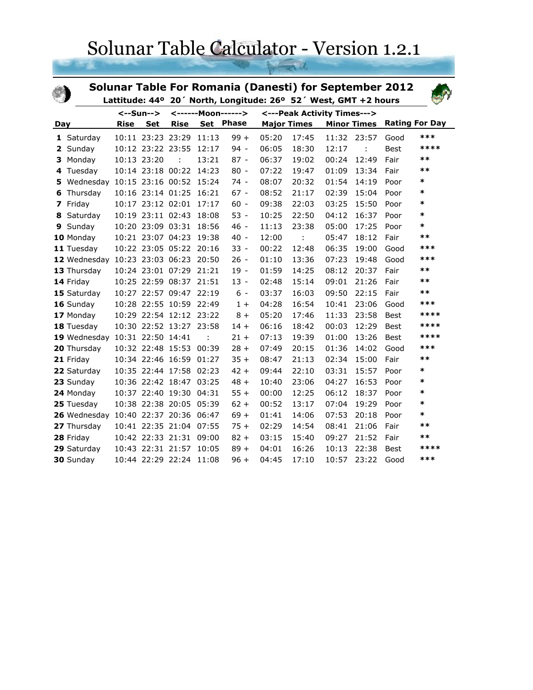Solunar Table Calculator - Version 1.2.1

|           |                                      |      |                    | <b>Solunar Table For Romania (Danesti) for September 2012</b>   |                             |                  |       |                    |       |                    |                       |        |
|-----------|--------------------------------------|------|--------------------|-----------------------------------------------------------------|-----------------------------|------------------|-------|--------------------|-------|--------------------|-----------------------|--------|
|           |                                      |      |                    | Lattitude: 44° 20' North, Longitude: 26° 52' West, GMT +2 hours |                             |                  |       |                    |       |                    |                       |        |
| <--Sun--> |                                      |      | <------Moon------> |                                                                 | <---Peak Activity Times---> |                  |       |                    |       |                    |                       |        |
| Day       |                                      | Rise | <b>Set</b>         | <b>Rise</b>                                                     |                             | <b>Set Phase</b> |       | <b>Major Times</b> |       | <b>Minor Times</b> | <b>Rating For Day</b> |        |
|           | 1 Saturday                           |      | 10:11 23:23 23:29  |                                                                 | 11:13                       | $99 +$           | 05:20 | 17:45              | 11:32 | 23:57              | Good                  | ***    |
| 2         | Sunday                               |      | 10:12 23:22 23:55  |                                                                 | 12:17                       | $94 -$           | 06:05 | 18:30              | 12:17 | ÷                  | Best                  | ****   |
| 3         | Monday                               |      | 10:13 23:20        | $\ddot{\phantom{a}}$                                            | 13:21                       | $87 -$           | 06:37 | 19:02              | 00:24 | 12:49              | Fair                  | $***$  |
| 4         | Tuesday                              |      | 10:14 23:18 00:22  |                                                                 | 14:23                       | $80 -$           | 07:22 | 19:47              | 01:09 | 13:34              | Fair                  | $***$  |
| 5         | Wednesday 10:15 23:16 00:52 15:24    |      |                    |                                                                 |                             | $74 -$           | 08:07 | 20:32              | 01:54 | 14:19              | Poor                  | $\ast$ |
| 6         | Thursday                             |      |                    | 10:16 23:14 01:25 16:21                                         |                             | $67 -$           | 08:52 | 21:17              | 02:39 | 15:04              | Poor                  | *      |
| 7         | Friday                               |      |                    | 10:17 23:12 02:01 17:17                                         |                             | $60 -$           | 09:38 | 22:03              | 03:25 | 15:50              | Poor                  | *      |
| 8         | Saturday                             |      |                    | 10:19 23:11 02:43 18:08                                         |                             | $53 -$           | 10:25 | 22:50              | 04:12 | 16:37              | Poor                  | *      |
| 9         | Sunday                               |      |                    | 10:20 23:09 03:31                                               | 18:56                       | $46 -$           | 11:13 | 23:38              | 05:00 | 17:25              | Poor                  | *      |
|           | 10 Monday                            |      |                    | 10:21 23:07 04:23                                               | 19:38                       | $40 -$           | 12:00 |                    | 05:47 | 18:12              | Fair                  | $***$  |
|           | 11 Tuesday                           |      |                    | 10:22 23:05 05:22 20:16                                         |                             | $33 -$           | 00:22 | 12:48              | 06:35 | 19:00              | Good                  | ***    |
|           | 12 Wednesday 10:23 23:03 06:23 20:50 |      |                    |                                                                 |                             | $26 -$           | 01:10 | 13:36              | 07:23 | 19:48              | Good                  | ***    |
|           | 13 Thursday                          |      |                    | 10:24 23:01 07:29                                               | 21:21                       | $19 -$           | 01:59 | 14:25              | 08:12 | 20:37              | Fair                  | $***$  |
|           | 14 Friday                            |      |                    | 10:25 22:59 08:37 21:51                                         |                             | $13 -$           | 02:48 | 15:14              | 09:01 | 21:26              | Fair                  | $***$  |
|           | 15 Saturday                          |      |                    | 10:27 22:57 09:47 22:19                                         |                             | $6 -$            | 03:37 | 16:03              | 09:50 | 22:15              | Fair                  | $***$  |
|           | 16 Sunday                            |      |                    | 10:28 22:55 10:59 22:49                                         |                             | $1+$             | 04:28 | 16:54              | 10:41 | 23:06              | Good                  | ***    |
|           | 17 Monday                            |      |                    | 10:29 22:54 12:12 23:22                                         |                             | $8+$             | 05:20 | 17:46              | 11:33 | 23:58              | <b>Best</b>           | ****   |
|           | 18 Tuesday                           |      |                    | 10:30 22:52 13:27 23:58                                         |                             | $14 +$           | 06:16 | 18:42              | 00:03 | 12:29              | Best                  | ****   |
|           | 19 Wednesday 10:31 22:50 14:41       |      |                    |                                                                 | $\mathbf{.}$                | $21 +$           | 07:13 | 19:39              | 01:00 | 13:26              | Best                  | ****   |
|           | 20 Thursday                          |      |                    | 10:32 22:48 15:53 00:39                                         |                             | $28 +$           | 07:49 | 20:15              | 01:36 | 14:02              | Good                  | ***    |
|           | 21 Friday                            |      |                    | 10:34 22:46 16:59                                               | 01:27                       | $35 +$           | 08:47 | 21:13              | 02:34 | 15:00              | Fair                  | $**$   |
|           | 22 Saturday                          |      |                    | 10:35 22:44 17:58 02:23                                         |                             | $42 +$           | 09:44 | 22:10              | 03:31 | 15:57              | Poor                  | *      |
|           | 23 Sunday                            |      |                    | 10:36 22:42 18:47 03:25                                         |                             | $48 +$           | 10:40 | 23:06              | 04:27 | 16:53              | Poor                  | *      |
|           | 24 Monday                            |      |                    | 10:37 22:40 19:30                                               | 04:31                       | $55 +$           | 00:00 | 12:25              | 06:12 | 18:37              | Poor                  | *      |
|           | 25 Tuesday                           |      |                    | 10:38 22:38 20:05                                               | 05:39                       | $62 +$           | 00:52 | 13:17              | 07:04 | 19:29              | Poor                  | $\ast$ |
|           | 26 Wednesday 10:40 22:37 20:36 06:47 |      |                    |                                                                 |                             | $69 +$           | 01:41 | 14:06              | 07:53 | 20:18              | Poor                  | *      |
|           | 27 Thursday                          |      |                    | 10:41 22:35 21:04 07:55                                         |                             | $75 +$           | 02:29 | 14:54              | 08:41 | 21:06              | Fair                  | $***$  |
|           | 28 Friday                            |      |                    | 10:42 22:33 21:31                                               | 09:00                       | $82 +$           | 03:15 | 15:40              | 09:27 | 21:52              | Fair                  | $**$   |
|           | 29 Saturday                          |      |                    | 10:43 22:31 21:57                                               | 10:05                       | $89 +$           | 04:01 | 16:26              | 10:13 | 22:38              | <b>Best</b>           | ****   |
|           | 30 Sunday                            |      | 10:44 22:29 22:24  |                                                                 | 11:08                       | $96 +$           | 04:45 | 17:10              | 10:57 | 23:22              | Good                  | ***    |